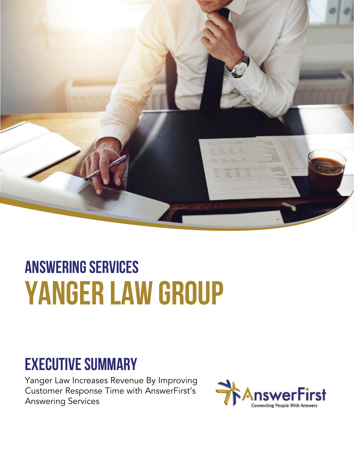

# **Answering services yanger law group**

#### **Executive Summary**

Yanger Law Increases Revenue By Improving Customer Response Time with AnswerFirst's Answering Services